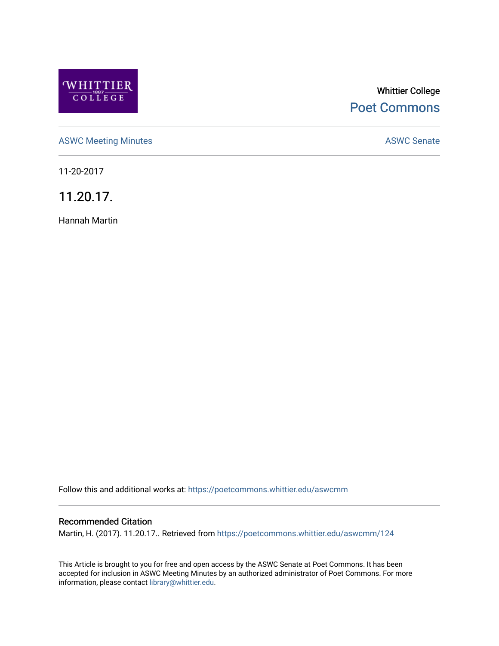

# Whittier College [Poet Commons](https://poetcommons.whittier.edu/)

[ASWC Meeting Minutes](https://poetcommons.whittier.edu/aswcmm) **ASWC Senate** 

11-20-2017

11.20.17.

Hannah Martin

Follow this and additional works at: [https://poetcommons.whittier.edu/aswcmm](https://poetcommons.whittier.edu/aswcmm?utm_source=poetcommons.whittier.edu%2Faswcmm%2F124&utm_medium=PDF&utm_campaign=PDFCoverPages)

### Recommended Citation

Martin, H. (2017). 11.20.17.. Retrieved from [https://poetcommons.whittier.edu/aswcmm/124](https://poetcommons.whittier.edu/aswcmm/124?utm_source=poetcommons.whittier.edu%2Faswcmm%2F124&utm_medium=PDF&utm_campaign=PDFCoverPages) 

This Article is brought to you for free and open access by the ASWC Senate at Poet Commons. It has been accepted for inclusion in ASWC Meeting Minutes by an authorized administrator of Poet Commons. For more information, please contact [library@whittier.edu.](mailto:library@whittier.edu)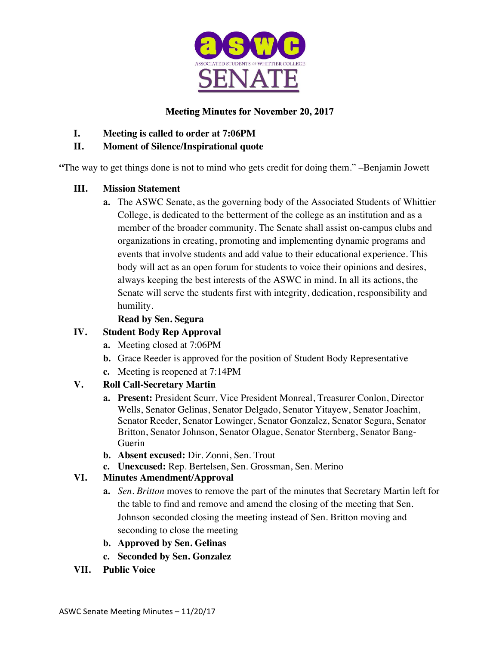

# **Meeting Minutes for November 20, 2017**

- **I. Meeting is called to order at 7:06PM**
- **II. Moment of Silence/Inspirational quote**

**"**The way to get things done is not to mind who gets credit for doing them." –Benjamin Jowett

## **III. Mission Statement**

**a.** The ASWC Senate, as the governing body of the Associated Students of Whittier College, is dedicated to the betterment of the college as an institution and as a member of the broader community. The Senate shall assist on-campus clubs and organizations in creating, promoting and implementing dynamic programs and events that involve students and add value to their educational experience. This body will act as an open forum for students to voice their opinions and desires, always keeping the best interests of the ASWC in mind. In all its actions, the Senate will serve the students first with integrity, dedication, responsibility and humility.

# **Read by Sen. Segura**

# **IV. Student Body Rep Approval**

- **a.** Meeting closed at 7:06PM
- **b.** Grace Reeder is approved for the position of Student Body Representative
- **c.** Meeting is reopened at 7:14PM

## **V. Roll Call-Secretary Martin**

- **a. Present:** President Scurr, Vice President Monreal, Treasurer Conlon, Director Wells, Senator Gelinas, Senator Delgado, Senator Yitayew, Senator Joachim, Senator Reeder, Senator Lowinger, Senator Gonzalez, Senator Segura, Senator Britton, Senator Johnson, Senator Olague, Senator Sternberg, Senator Bang-Guerin
- **b. Absent excused:** Dir. Zonni, Sen. Trout
- **c. Unexcused:** Rep. Bertelsen, Sen. Grossman, Sen. Merino

# **VI. Minutes Amendment/Approval**

- **a.** *Sen. Britton* moves to remove the part of the minutes that Secretary Martin left for the table to find and remove and amend the closing of the meeting that Sen. Johnson seconded closing the meeting instead of Sen. Britton moving and seconding to close the meeting
- **b. Approved by Sen. Gelinas**
- **c. Seconded by Sen. Gonzalez**
- **VII. Public Voice**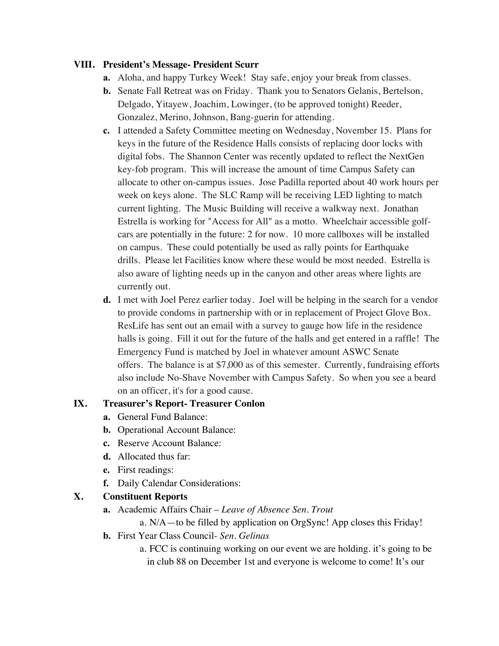#### **VIII. President's Message- President Scurr**

- **a.** Aloha, and happy Turkey Week! Stay safe, enjoy your break from classes.
- **b.** Senate Fall Retreat was on Friday. Thank you to Senators Gelanis, Bertelson, Delgado, Yitayew, Joachim, Lowinger, (to be approved tonight) Reeder, Gonzalez, Merino, Johnson, Bang-guerin for attending.
- **c.** I attended a Safety Committee meeting on Wednesday, November 15. Plans for keys in the future of the Residence Halls consists of replacing door locks with digital fobs. The Shannon Center was recently updated to reflect the NextGen key-fob program. This will increase the amount of time Campus Safety can allocate to other on-campus issues. Jose Padilla reported about 40 work hours per week on keys alone. The SLC Ramp will be receiving LED lighting to match current lighting. The Music Building will receive a walkway next. Jonathan Estrella is working for "Access for All" as a motto. Wheelchair accessible golfcars are potentially in the future: 2 for now. 10 more callboxes will be installed on campus. These could potentially be used as rally points for Earthquake drills. Please let Facilities know where these would be most needed. Estrella is also aware of lighting needs up in the canyon and other areas where lights are currently out.
- **d.** I met with Joel Perez earlier today. Joel will be helping in the search for a vendor to provide condoms in partnership with or in replacement of Project Glove Box. ResLife has sent out an email with a survey to gauge how life in the residence halls is going. Fill it out for the future of the halls and get entered in a raffle! The Emergency Fund is matched by Joel in whatever amount ASWC Senate offers. The balance is at \$7,000 as of this semester. Currently, fundraising efforts also include No-Shave November with Campus Safety. So when you see a beard on an officer, it's for a good cause.

#### **IX. Treasurer's Report- Treasurer Conlon**

- **a.** General Fund Balance:
- **b.** Operational Account Balance:
- **c.** Reserve Account Balance:
- **d.** Allocated thus far:
- **e.** First readings:
- **f.** Daily Calendar Considerations:

#### **X. Constituent Reports**

**a.** Academic Affairs Chair – *Leave of Absence Sen. Trout*

a. N/A—to be filled by application on OrgSync! App closes this Friday!

- **b.** First Year Class Council- *Sen. Gelinas*
	- a. FCC is continuing working on our event we are holding. it's going to be in club 88 on December 1st and everyone is welcome to come! It's our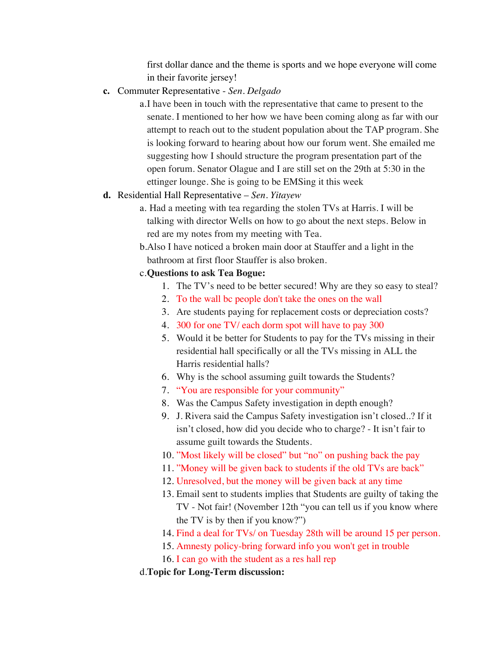first dollar dance and the theme is sports and we hope everyone will come in their favorite jersey!

**c.** Commuter Representative - *Sen. Delgado*

a.I have been in touch with the representative that came to present to the senate. I mentioned to her how we have been coming along as far with our attempt to reach out to the student population about the TAP program. She is looking forward to hearing about how our forum went. She emailed me suggesting how I should structure the program presentation part of the open forum. Senator Olague and I are still set on the 29th at 5:30 in the ettinger lounge. She is going to be EMSing it this week

### **d.** Residential Hall Representative – *Sen. Yitayew*

- a. Had a meeting with tea regarding the stolen TVs at Harris. I will be talking with director Wells on how to go about the next steps. Below in red are my notes from my meeting with Tea.
- b.Also I have noticed a broken main door at Stauffer and a light in the bathroom at first floor Stauffer is also broken.

#### c.**Questions to ask Tea Bogue:**

- 1. The TV's need to be better secured! Why are they so easy to steal?
- 2. To the wall bc people don't take the ones on the wall
- 3. Are students paying for replacement costs or depreciation costs?
- 4. 300 for one TV/ each dorm spot will have to pay 300
- 5. Would it be better for Students to pay for the TVs missing in their residential hall specifically or all the TVs missing in ALL the Harris residential halls?
- 6. Why is the school assuming guilt towards the Students?
- 7. "You are responsible for your community"
- 8. Was the Campus Safety investigation in depth enough?
- 9. J. Rivera said the Campus Safety investigation isn't closed..? If it isn't closed, how did you decide who to charge? - It isn't fair to assume guilt towards the Students.
- 10. "Most likely will be closed" but "no" on pushing back the pay
- 11. "Money will be given back to students if the old TVs are back"
- 12. Unresolved, but the money will be given back at any time
- 13. Email sent to students implies that Students are guilty of taking the TV - Not fair! (November 12th "you can tell us if you know where the TV is by then if you know?")
- 14. Find a deal for TVs/ on Tuesday 28th will be around 15 per person.
- 15. Amnesty policy-bring forward info you won't get in trouble
- 16. I can go with the student as a res hall rep

#### d.**Topic for Long-Term discussion:**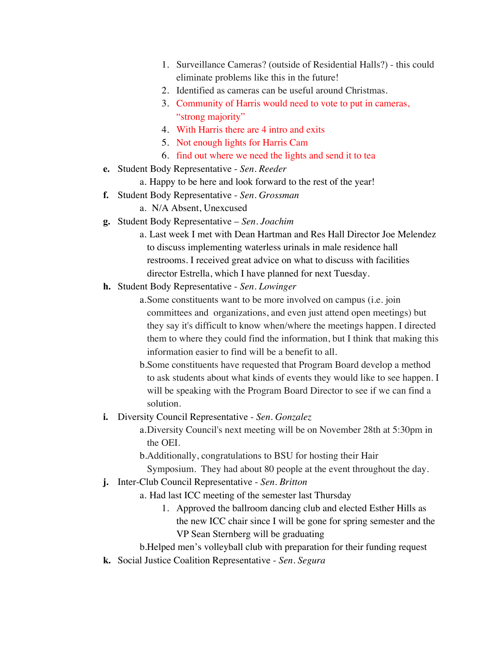- 1. Surveillance Cameras? (outside of Residential Halls?) this could eliminate problems like this in the future!
- 2. Identified as cameras can be useful around Christmas.
- 3. Community of Harris would need to vote to put in cameras, "strong majority"
- 4. With Harris there are 4 intro and exits
- 5. Not enough lights for Harris Cam
- 6. find out where we need the lights and send it to tea
- **e.** Student Body Representative *Sen. Reeder*
	- a. Happy to be here and look forward to the rest of the year!
- **f.** Student Body Representative *Sen. Grossman*
	- a. N/A Absent, Unexcused
- **g.** Student Body Representative *Sen. Joachim*
	- a. Last week I met with Dean Hartman and Res Hall Director Joe Melendez to discuss implementing waterless urinals in male residence hall restrooms. I received great advice on what to discuss with facilities director Estrella, which I have planned for next Tuesday.
- **h.** Student Body Representative *Sen. Lowinger*
	- a.Some constituents want to be more involved on campus (i.e. join committees and organizations, and even just attend open meetings) but they say it's difficult to know when/where the meetings happen. I directed them to where they could find the information, but I think that making this information easier to find will be a benefit to all.
	- b.Some constituents have requested that Program Board develop a method to ask students about what kinds of events they would like to see happen. I will be speaking with the Program Board Director to see if we can find a solution.
- **i.** Diversity Council Representative *Sen. Gonzalez*
	- a.Diversity Council's next meeting will be on November 28th at 5:30pm in the OEI.
	- b.Additionally, congratulations to BSU for hosting their Hair
	- Symposium. They had about 80 people at the event throughout the day.
- **j.** Inter-Club Council Representative *Sen. Britton*
	- a. Had last ICC meeting of the semester last Thursday
		- 1. Approved the ballroom dancing club and elected Esther Hills as the new ICC chair since I will be gone for spring semester and the VP Sean Sternberg will be graduating
	- b.Helped men's volleyball club with preparation for their funding request
- **k.** Social Justice Coalition Representative *Sen. Segura*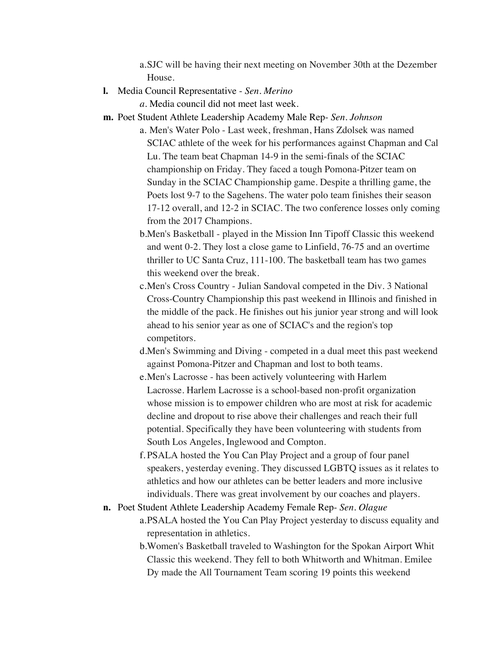a.SJC will be having their next meeting on November 30th at the Dezember House.

**l.** Media Council Representative - *Sen. Merino*

*a.* Media council did not meet last week.

- **m.** Poet Student Athlete Leadership Academy Male Rep- *Sen. Johnson*
	- a. Men's Water Polo Last week, freshman, Hans Zdolsek was named SCIAC athlete of the week for his performances against Chapman and Cal Lu. The team beat Chapman 14-9 in the semi-finals of the SCIAC championship on Friday. They faced a tough Pomona-Pitzer team on Sunday in the SCIAC Championship game. Despite a thrilling game, the Poets lost 9-7 to the Sagehens. The water polo team finishes their season 17-12 overall, and 12-2 in SCIAC. The two conference losses only coming from the 2017 Champions.
	- b.Men's Basketball played in the Mission Inn Tipoff Classic this weekend and went 0-2. They lost a close game to Linfield, 76-75 and an overtime thriller to UC Santa Cruz, 111-100. The basketball team has two games this weekend over the break.
	- c.Men's Cross Country Julian Sandoval competed in the Div. 3 National Cross-Country Championship this past weekend in Illinois and finished in the middle of the pack. He finishes out his junior year strong and will look ahead to his senior year as one of SCIAC's and the region's top competitors.
	- d.Men's Swimming and Diving competed in a dual meet this past weekend against Pomona-Pitzer and Chapman and lost to both teams.
	- e.Men's Lacrosse has been actively volunteering with Harlem Lacrosse. Harlem Lacrosse is a school-based non-profit organization whose mission is to empower children who are most at risk for academic decline and dropout to rise above their challenges and reach their full potential. Specifically they have been volunteering with students from South Los Angeles, Inglewood and Compton.
	- f. PSALA hosted the You Can Play Project and a group of four panel speakers, yesterday evening. They discussed LGBTQ issues as it relates to athletics and how our athletes can be better leaders and more inclusive individuals. There was great involvement by our coaches and players.
- **n.** Poet Student Athlete Leadership Academy Female Rep- *Sen. Olague*
	- a.PSALA hosted the You Can Play Project yesterday to discuss equality and representation in athletics.
	- b.Women's Basketball traveled to Washington for the Spokan Airport Whit Classic this weekend. They fell to both Whitworth and Whitman. Emilee Dy made the All Tournament Team scoring 19 points this weekend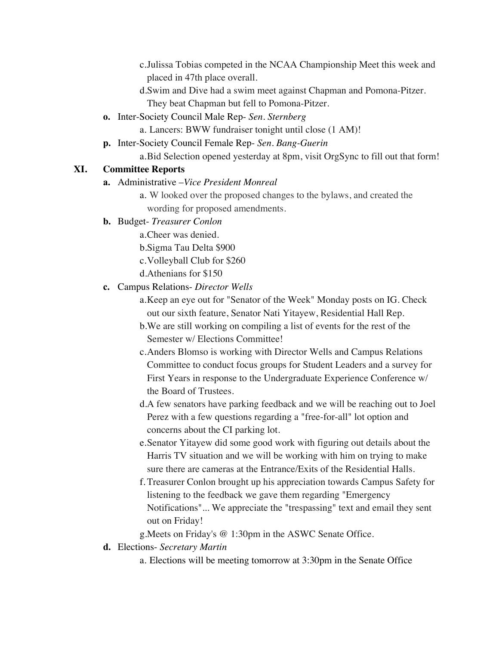c.Julissa Tobias competed in the NCAA Championship Meet this week and placed in 47th place overall.

d.Swim and Dive had a swim meet against Chapman and Pomona-Pitzer. They beat Chapman but fell to Pomona-Pitzer.

**o.** Inter-Society Council Male Rep- *Sen. Sternberg*

a. Lancers: BWW fundraiser tonight until close (1 AM)!

**p.** Inter-Society Council Female Rep- *Sen. Bang-Guerin*

a.Bid Selection opened yesterday at 8pm, visit OrgSync to fill out that form!

### **XI. Committee Reports**

- **a.** Administrative –*Vice President Monreal*
	- a. W looked over the proposed changes to the bylaws, and created the wording for proposed amendments.
- **b.** Budget- *Treasurer Conlon*

a.Cheer was denied.

b.Sigma Tau Delta \$900

- c.Volleyball Club for \$260
- d.Athenians for \$150

### **c.** Campus Relations- *Director Wells*

- a.Keep an eye out for "Senator of the Week" Monday posts on IG. Check out our sixth feature, Senator Nati Yitayew, Residential Hall Rep.
- b.We are still working on compiling a list of events for the rest of the Semester w/ Elections Committee!
- c.Anders Blomso is working with Director Wells and Campus Relations Committee to conduct focus groups for Student Leaders and a survey for First Years in response to the Undergraduate Experience Conference w/ the Board of Trustees.
- d.A few senators have parking feedback and we will be reaching out to Joel Perez with a few questions regarding a "free-for-all" lot option and concerns about the CI parking lot.
- e.Senator Yitayew did some good work with figuring out details about the Harris TV situation and we will be working with him on trying to make sure there are cameras at the Entrance/Exits of the Residential Halls.
- f. Treasurer Conlon brought up his appreciation towards Campus Safety for listening to the feedback we gave them regarding "Emergency Notifications"... We appreciate the "trespassing" text and email they sent out on Friday!

g.Meets on Friday's @ 1:30pm in the ASWC Senate Office.

**d.** Elections- *Secretary Martin*

a. Elections will be meeting tomorrow at 3:30pm in the Senate Office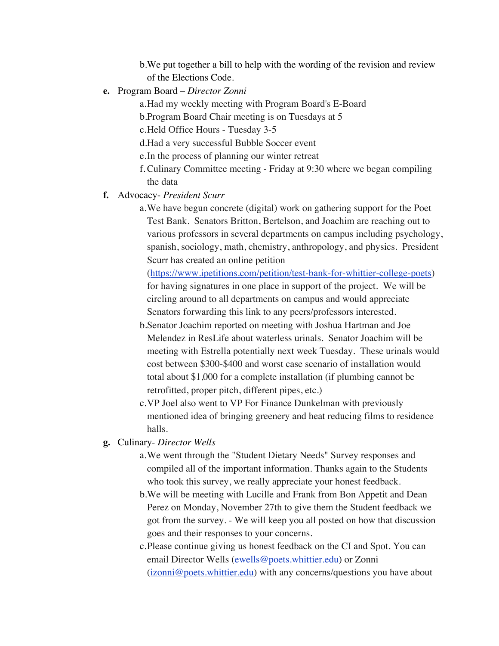b.We put together a bill to help with the wording of the revision and review of the Elections Code.

**e.** Program Board – *Director Zonni*

a.Had my weekly meeting with Program Board's E-Board b.Program Board Chair meeting is on Tuesdays at 5 c.Held Office Hours - Tuesday 3-5 d.Had a very successful Bubble Soccer event e.In the process of planning our winter retreat f.Culinary Committee meeting - Friday at 9:30 where we began compiling the data

#### **f.** Advocacy- *President Scurr*

a.We have begun concrete (digital) work on gathering support for the Poet Test Bank. Senators Britton, Bertelson, and Joachim are reaching out to various professors in several departments on campus including psychology, spanish, sociology, math, chemistry, anthropology, and physics. President Scurr has created an online petition

(https://www.ipetitions.com/petition/test-bank-for-whittier-college-poets) for having signatures in one place in support of the project. We will be circling around to all departments on campus and would appreciate Senators forwarding this link to any peers/professors interested.

b.Senator Joachim reported on meeting with Joshua Hartman and Joe Melendez in ResLife about waterless urinals. Senator Joachim will be meeting with Estrella potentially next week Tuesday. These urinals would cost between \$300-\$400 and worst case scenario of installation would total about \$1,000 for a complete installation (if plumbing cannot be retrofitted, proper pitch, different pipes, etc.)

c.VP Joel also went to VP For Finance Dunkelman with previously mentioned idea of bringing greenery and heat reducing films to residence halls.

- **g.** Culinary- *Director Wells*
	- a.We went through the "Student Dietary Needs" Survey responses and compiled all of the important information. Thanks again to the Students who took this survey, we really appreciate your honest feedback.

b.We will be meeting with Lucille and Frank from Bon Appetit and Dean Perez on Monday, November 27th to give them the Student feedback we got from the survey. - We will keep you all posted on how that discussion goes and their responses to your concerns.

c.Please continue giving us honest feedback on the CI and Spot. You can email Director Wells (ewells@poets.whittier.edu) or Zonni (izonni@poets.whittier.edu) with any concerns/questions you have about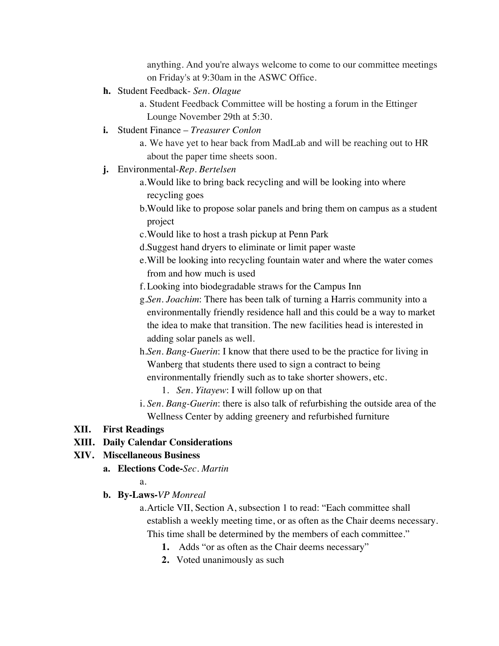anything. And you're always welcome to come to our committee meetings on Friday's at 9:30am in the ASWC Office.

- **h.** Student Feedback- *Sen. Olague*
	- a. Student Feedback Committee will be hosting a forum in the Ettinger Lounge November 29th at 5:30.
- **i.** Student Finance *Treasurer Conlon*
	- a. We have yet to hear back from MadLab and will be reaching out to HR about the paper time sheets soon.
- **j.** Environmental-*Rep. Bertelsen*
	- a.Would like to bring back recycling and will be looking into where recycling goes
	- b.Would like to propose solar panels and bring them on campus as a student project
	- c.Would like to host a trash pickup at Penn Park
	- d.Suggest hand dryers to eliminate or limit paper waste
	- e.Will be looking into recycling fountain water and where the water comes from and how much is used
	- f. Looking into biodegradable straws for the Campus Inn
	- g.*Sen. Joachim*: There has been talk of turning a Harris community into a environmentally friendly residence hall and this could be a way to market the idea to make that transition. The new facilities head is interested in adding solar panels as well.
	- h.*Sen*. *Bang-Guerin*: I know that there used to be the practice for living in Wanberg that students there used to sign a contract to being environmentally friendly such as to take shorter showers, etc.
		- 1. *Sen*. *Yitayew*: I will follow up on that
	- i. *Sen*. *Bang-Guerin*: there is also talk of refurbishing the outside area of the Wellness Center by adding greenery and refurbished furniture

#### **XII. First Readings**

#### **XIII. Daily Calendar Considerations**

#### **XIV. Miscellaneous Business**

**a. Elections Code-***Sec. Martin*

a.

**b. By-Laws-***VP Monreal*

a.Article VII, Section A, subsection 1 to read: "Each committee shall establish a weekly meeting time, or as often as the Chair deems necessary. This time shall be determined by the members of each committee."

- **1.** Adds "or as often as the Chair deems necessary"
- **2.** Voted unanimously as such